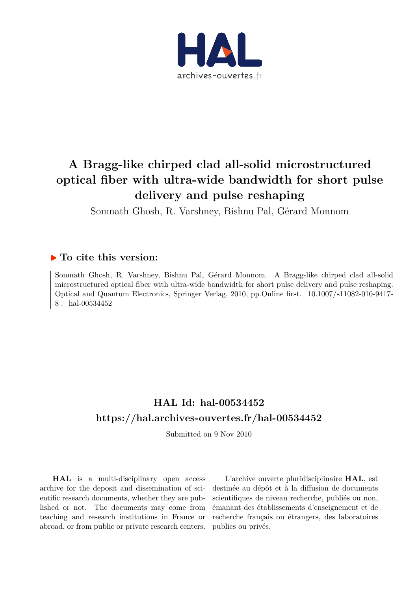

# **A Bragg-like chirped clad all-solid microstructured optical fiber with ultra-wide bandwidth for short pulse delivery and pulse reshaping**

Somnath Ghosh, R. Varshney, Bishnu Pal, Gérard Monnom

## **To cite this version:**

Somnath Ghosh, R. Varshney, Bishnu Pal, Gérard Monnom. A Bragg-like chirped clad all-solid microstructured optical fiber with ultra-wide bandwidth for short pulse delivery and pulse reshaping. Optical and Quantum Electronics, Springer Verlag, 2010, pp.Online first. 10.1007/s11082-010-9417- 8. hal-00534452

## **HAL Id: hal-00534452 https://hal.archives-ouvertes.fr/hal-00534452**

Submitted on 9 Nov 2010

**HAL** is a multi-disciplinary open access archive for the deposit and dissemination of scientific research documents, whether they are published or not. The documents may come from teaching and research institutions in France or abroad, or from public or private research centers.

L'archive ouverte pluridisciplinaire **HAL**, est destinée au dépôt et à la diffusion de documents scientifiques de niveau recherche, publiés ou non, émanant des établissements d'enseignement et de recherche français ou étrangers, des laboratoires publics ou privés.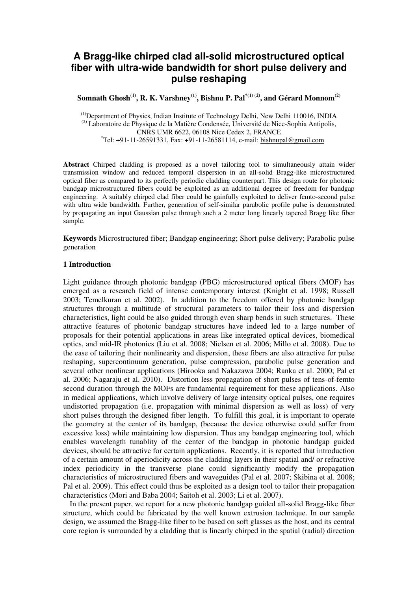### **A Bragg-like chirped clad all-solid microstructured optical fiber with ultra-wide bandwidth for short pulse delivery and pulse reshaping**

**Somnath Ghosh(1), R. K. Varshney(1), Bishnu P. Pal\*(1) (2), and Gérard Monnom(2)** 

 $<sup>(1)</sup>$ Department of Physics, Indian Institute of Technology Delhi, New Delhi 110016, INDIA</sup> (2) Laboratoire de Physique de la Matière Condensée, Université de Nice-Sophia Antipolis, CNRS UMR 6622, 06108 Nice Cedex 2, FRANCE  $T$ el: +91-11-26591331, Fax: +91-11-26581114, e-mail: [bishnupal@gmail.com](mailto:bishnupal@gmail.com)

**Abstract** Chirped cladding is proposed as a novel tailoring tool to simultaneously attain wider transmission window and reduced temporal dispersion in an all-solid Bragg-like microstructured optical fiber as compared to its perfectly periodic cladding counterpart. This design route for photonic bandgap microstructured fibers could be exploited as an additional degree of freedom for bandgap engineering. A suitably chirped clad fiber could be gainfully exploited to deliver femto-second pulse with ultra wide bandwidth. Further, generation of self-similar parabolic profile pulse is demonstrated by propagating an input Gaussian pulse through such a 2 meter long linearly tapered Bragg like fiber sample.

**Keywords** Microstructured fiber; Bandgap engineering; Short pulse delivery; Parabolic pulse generation

#### **1 Introduction**

Light guidance through photonic bandgap (PBG) microstructured optical fibers (MOF) has emerged as a research field of intense contemporary interest (Knight et al. 1998; Russell 2003; Temelkuran et al. 2002). In addition to the freedom offered by photonic bandgap structures through a multitude of structural parameters to tailor their loss and dispersion characteristics, light could be also guided through even sharp bends in such structures. These attractive features of photonic bandgap structures have indeed led to a large number of proposals for their potential applications in areas like integrated optical devices, biomedical optics, and mid-IR photonics (Liu et al. 2008; Nielsen et al. 2006; Millo et al. 2008). Due to the ease of tailoring their nonlinearity and dispersion, these fibers are also attractive for pulse reshaping, supercontinuum generation, pulse compression, parabolic pulse generation and several other nonlinear applications (Hirooka and Nakazawa 2004; Ranka et al. 2000; Pal et al. 2006; Nagaraju et al. 2010). Distortion less propagation of short pulses of tens-of-femto second duration through the MOFs are fundamental requirement for these applications. Also in medical applications, which involve delivery of large intensity optical pulses, one requires undistorted propagation (i.e. propagation with minimal dispersion as well as loss) of very short pulses through the designed fiber length. To fulfill this goal, it is important to operate the geometry at the center of its bandgap, (because the device otherwise could suffer from excessive loss) while maintaining low dispersion. Thus any bandgap engineering tool, which enables wavelength tunablity of the center of the bandgap in photonic bandgap guided devices, should be attractive for certain applications. Recently, it is reported that introduction of a certain amount of aperiodicity across the cladding layers in their spatial and/ or refractive index periodicity in the transverse plane could significantly modify the propagation characteristics of microstructured fibers and waveguides (Pal et al. 2007; Skibina et al. 2008; Pal et al. 2009). This effect could thus be exploited as a design tool to tailor their propagation characteristics (Mori and Baba 2004; Saitoh et al. 2003; Li et al. 2007).

In the present paper, we report for a new photonic bandgap guided all-solid Bragg-like fiber structure, which could be fabricated by the well known extrusion technique. In our sample design, we assumed the Bragg-like fiber to be based on soft glasses as the host, and its central core region is surrounded by a cladding that is linearly chirped in the spatial (radial) direction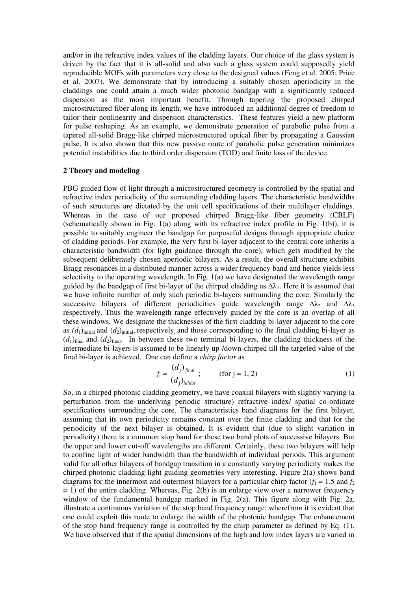and/or in the refractive index values of the cladding layers. Our choice of the glass system is driven by the fact that it is all-solid and also such a glass system could supposedly yield reproducible MOFs with parameters very close to the designed values (Feng et al. 2005; Price et al. 2007). We demonstrate that by introducing a suitably chosen aperiodicity in the claddings one could attain a much wider photonic bandgap with a significantly reduced dispersion as the most important benefit. Through tapering the proposed chirped microstructured fiber along its length, we have introduced an additional degree of freedom to tailor their nonlinearity and dispersion characteristics. These features yield a new platform for pulse reshaping. As an example, we demonstrate generation of parabolic pulse from a tapered all-solid Bragg-like chirped microstructured optical fiber by propagating a Gaussian pulse. It is also shown that this new passive route of parabolic pulse generation minimizes potential instabilities due to third order dispersion (TOD) and finite loss of the device.

#### **2 Theory and modeling**

PBG guided flow of light through a microstructured geometry is controlled by the spatial and refractive index periodicity of the surrounding cladding layers. The characteristic bandwidths of such structures are dictated by the unit cell specifications of their multilayer claddings. Whereas in the case of our proposed chirped Bragg-like fiber geometry (CBLF) (schematically shown in Fig. 1(a) along with its refractive index profile in Fig. 1(b)), it is possible to suitably engineer the bandgap for purposeful designs through appropriate choice of cladding periods. For example, the very first bi-layer adjacent to the central core inherits a characteristic bandwidth (for light guidance through the core), which gets modified by the subsequent deliberately chosen aperiodic bilayers. As a result, the overall structure exhibits Bragg resonances in a distributed manner across a wider frequency band and hence yields less selectivity to the operating wavelength. In Fig. 1(a) we have designated the wavelength range guided by the bandgap of first bi-layer of the chirped cladding as  $\Delta\lambda_1$ . Here it is assumed that we have infinite number of only such periodic bi-layers surrounding the core. Similarly the successive bilayers of different periodicities guide wavelength range  $\Delta\lambda_2$  and  $\Delta\lambda_3$ respectively. Thus the wavelength range effectively guided by the core is an overlap of all these windows. We designate the thicknesses of the first cladding bi-layer adjacent to the core as  $(d_1)$ <sub>initial</sub> and  $(d_2)$ <sub>initial</sub>, respectively, and those corresponding to the final cladding bi-layer as  $(d_1)_{\text{final}}$  and  $(d_2)_{\text{final}}$ . In between these two terminal bi-layers, the cladding thickness of the intermediate bi-layers is assumed to be linearly up-/down-chirped till the targeted value of the final bi-layer is achieved. One can define a *chirp factor* as

$$
f_j = \frac{(d_j)_{\text{final}}}{(d_j)_{\text{initial}}}; \qquad \text{(for } j = 1, 2)
$$
 (1)

So, in a chirped photonic cladding geometry, we have coaxial bilayers with slightly varying (a perturbation from the underlying periodic structure) refractive index/ spatial co-ordinate specifications surrounding the core. The characteristics band diagrams for the first bilayer, assuming that its own periodicity remains constant over the finite cladding and that for the periodicity of the next bilayer is obtained. It is evident that (due to slight variation in periodicity) there is a common stop band for these two band plots of successive bilayers. But the upper and lower cut-off wavelengths are different. Certainly, these two bilayers will help to confine light of wider bandwidth than the bandwidth of individual periods. This argument valid for all other bilayers of bandgap transition in a constantly varying periodicity makes the chirped photonic cladding light guiding geometries very interesting. Figure 2(a) shows band diagrams for the innermost and outermost bilayers for a particular chirp factor  $(f_1 = 1.5 \text{ and } f_2)$  $= 1$ ) of the entire cladding. Whereas, Fig. 2(b) is an enlarge view over a narrower frequency window of the fundamental bandgap marked in Fig. 2(a). This figure along with Fig. 2a, illustrate a continuous variation of the stop band frequency range; wherefrom it is evident that one could exploit this route to enlarge the width of the photonic bandgap. The enhancement of the stop band frequency range is controlled by the chirp parameter as defined by Eq. (1). We have observed that if the spatial dimensions of the high and low index layers are varied in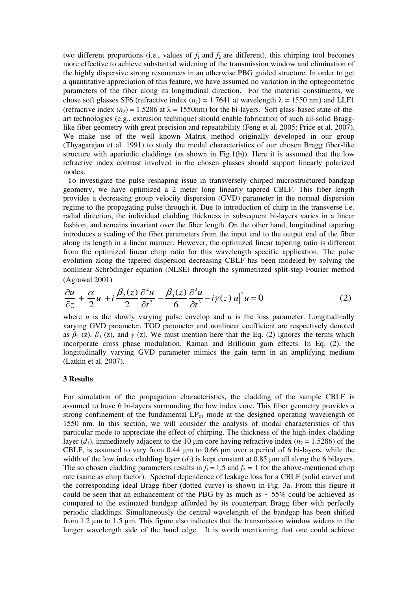two different proportions (i.e., values of  $f_1$  and  $f_2$  are different), this chirping tool becomes more effective to achieve substantial widening of the transmission window and elimination of the highly dispersive strong resonances in an otherwise PBG guided structure. In order to get a quantitative appreciation of this feature, we have assumed no variation in the optogeometric parameters of the fiber along its longitudinal direction. For the material constituents, we chose soft glasses SF6 (refractive index  $(n_1) = 1.7641$  at wavelength  $\lambda = 1550$  nm) and LLF1 (refractive index  $(n_2) = 1.5286$  at  $\lambda = 1550$ nm) for the bi-layers. Soft glass-based state-of-theart technologies (e.g., extrusion technique) should enable fabrication of such all-solid Bragglike fiber geometry with great precision and repeatability (Feng et al. 2005; Price et al. 2007). We make use of the well known Matrix method originally developed in our group (Thyagarajan et al. 1991) to study the modal characteristics of our chosen Bragg fiber-like structure with aperiodic claddings (as shown in Fig.1(b)). Here it is assumed that the low refractive index contrast involved in the chosen glasses should support linearly polarized modes.

 To investigate the pulse reshaping issue in transversely chirped microstructured bandgap geometry, we have optimized a 2 meter long linearly tapered CBLF. This fiber length provides a decreasing group velocity dispersion (GVD) parameter in the normal dispersion regime to the propagating pulse through it. Due to introduction of chirp in the transverse i.e. radial direction, the individual cladding thickness in subsequent bi-layers varies in a linear fashion, and remains invariant over the fiber length. On the other hand, longitudinal tapering introduces a scaling of the fiber parameters from the input end to the output end of the fiber along its length in a linear manner. However, the optimized linear tapering ratio is different from the optimized linear chirp ratio for this wavelength specific application. The pulse evolution along the tapered dispersion decreasing CBLF has been modeled by solving the nonlinear Schrödinger equation (NLSE) through the symmetrized split-step Fourier method (Agrawal 2001)

$$
\frac{\partial u}{\partial z} + \frac{\alpha}{2} u + i \frac{\beta_2(z)}{2} \frac{\partial^2 u}{\partial t^2} - \frac{\beta_3(z)}{6} \frac{\partial^3 u}{\partial t^3} - i \gamma(z) |u|^2 u = 0 \tag{2}
$$

where *u* is the slowly varying pulse envelop and  $\alpha$  is the loss parameter. Longitudinally varying GVD parameter, TOD parameter and nonlinear coefficient are respectively denoted as  $\beta_2$  (z),  $\beta_3$  (z), and *γ* (z). We must mention here that the Eq. (2) ignores the terms which incorporate cross phase modulation, Raman and Brillouin gain effects. In Eq. (2), the longitudinally varying GVD parameter mimics the gain term in an amplifying medium (Latkin et al. 2007).

#### **3 Results**

For simulation of the propagation characteristics, the cladding of the sample CBLF is assumed to have 6 bi-layers surrounding the low index core. This fiber geometry provides a strong confinement of the fundamental  $LP_{01}$  mode at the designed operating wavelength of 1550 nm. In this section, we will consider the analysis of modal characteristics of this particular mode to appreciate the effect of chirping. The thickness of the high-index cladding layer  $(d_1)$ , immediately adjacent to the 10 µm core having refractive index  $(n_2 = 1.5286)$  of the CBLF, is assumed to vary from 0.44 μm to 0.66 μm over a period of 6 bi-layers, while the width of the low index cladding layer  $(d_2)$  is kept constant at 0.85  $\mu$ m all along the 6 bilayers. The so chosen cladding parameters results in  $f_1 = 1.5$  and  $f_2 = 1$  for the above-mentioned chirp rate (same as chirp factor). Spectral dependence of leakage loss for a CBLF (solid curve) and the corresponding ideal Bragg fiber (dotted curve) is shown in Fig. 3a. From this figure it could be seen that an enhancement of the PBG by as much as  $\sim$  55% could be achieved as compared to the estimated bandgap afforded by its counterpart Bragg fiber with perfectly periodic claddings. Simultaneously the central wavelength of the bandgap has been shifted from 1.2 µm to 1.5 µm. This figure also indicates that the transmission window widens in the longer wavelength side of the band edge. It is worth mentioning that one could achieve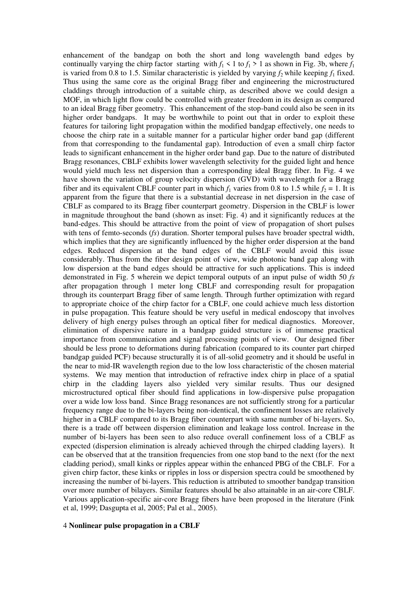enhancement of the bandgap on both the short and long wavelength band edges by continually varying the chirp factor starting with  $f_1 < 1$  to  $f_1 > 1$  as shown in Fig. 3b, where  $f_1$ is varied from 0.8 to 1.5. Similar characteristic is yielded by varying  $f_2$  while keeping  $f_1$  fixed. Thus using the same core as the original Bragg fiber and engineering the microstructured claddings through introduction of a suitable chirp, as described above we could design a MOF, in which light flow could be controlled with greater freedom in its design as compared to an ideal Bragg fiber geometry. This enhancement of the stop-band could also be seen in its higher order bandgaps. It may be worthwhile to point out that in order to exploit these features for tailoring light propagation within the modified bandgap effectively, one needs to choose the chirp rate in a suitable manner for a particular higher order band gap (different from that corresponding to the fundamental gap). Introduction of even a small chirp factor leads to significant enhancement in the higher order band gap. Due to the nature of distributed Bragg resonances, CBLF exhibits lower wavelength selectivity for the guided light and hence would yield much less net dispersion than a corresponding ideal Bragg fiber. In Fig. 4 we have shown the variation of group velocity dispersion (GVD) with wavelength for a Bragg fiber and its equivalent CBLF counter part in which  $f_1$  varies from 0.8 to 1.5 while  $f_2 = 1$ . It is apparent from the figure that there is a substantial decrease in net dispersion in the case of CBLF as compared to its Bragg fiber counterpart geometry. Dispersion in the CBLF is lower in magnitude throughout the band (shown as inset: Fig. 4) and it significantly reduces at the band-edges. This should be attractive from the point of view of propagation of short pulses with tens of femto-seconds (*fs*) duration. Shorter temporal pulses have broader spectral width, which implies that they are significantly influenced by the higher order dispersion at the band edges. Reduced dispersion at the band edges of the CBLF would avoid this issue considerably. Thus from the fiber design point of view, wide photonic band gap along with low dispersion at the band edges should be attractive for such applications. This is indeed demonstrated in Fig. 5 wherein we depict temporal outputs of an input pulse of width 50 *fs* after propagation through 1 meter long CBLF and corresponding result for propagation through its counterpart Bragg fiber of same length. Through further optimization with regard to appropriate choice of the chirp factor for a CBLF, one could achieve much less distortion in pulse propagation. This feature should be very useful in medical endoscopy that involves delivery of high energy pulses through an optical fiber for medical diagnostics. Moreover, elimination of dispersive nature in a bandgap guided structure is of immense practical importance from communication and signal processing points of view. Our designed fiber should be less prone to deformations during fabrication (compared to its counter part chirped bandgap guided PCF) because structurally it is of all-solid geometry and it should be useful in the near to mid-IR wavelength region due to the low loss characteristic of the chosen material systems. We may mention that introduction of refractive index chirp in place of a spatial chirp in the cladding layers also yielded very similar results. Thus our designed microstructured optical fiber should find applications in low-dispersive pulse propagation over a wide low loss band. Since Bragg resonances are not sufficiently strong for a particular frequency range due to the bi-layers being non-identical, the confinement losses are relatively higher in a CBLF compared to its Bragg fiber counterpart with same number of bi-layers. So, there is a trade off between dispersion elimination and leakage loss control. Increase in the number of bi-layers has been seen to also reduce overall confinement loss of a CBLF as expected (dispersion elimination is already achieved through the chirped cladding layers). It can be observed that at the transition frequencies from one stop band to the next (for the next cladding period), small kinks or ripples appear within the enhanced PBG of the CBLF. For a given chirp factor, these kinks or ripples in loss or dispersion spectra could be smoothened by increasing the number of bi-layers. This reduction is attributed to smoother bandgap transition over more number of bilayers. Similar features should be also attainable in an air-core CBLF. Various application-specific air-core Bragg fibers have been proposed in the literature (Fink et al, 1999; Dasgupta et al, 2005; Pal et al., 2005).

#### 4 **Nonlinear pulse propagation in a CBLF**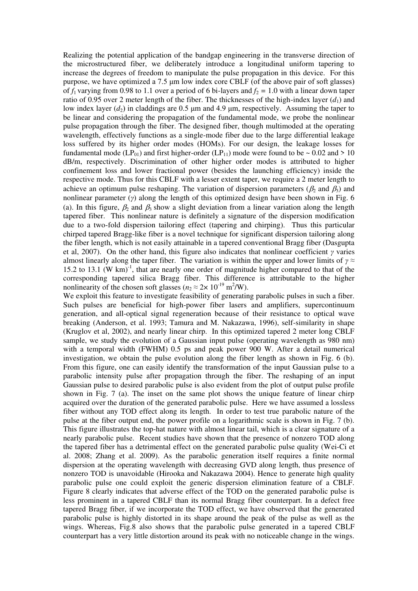Realizing the potential application of the bandgap engineering in the transverse direction of the microstructured fiber, we deliberately introduce a longitudinal uniform tapering to increase the degrees of freedom to manipulate the pulse propagation in this device. For this purpose, we have optimized a 7.5 μm low index core CBLF (of the above pair of soft glasses) of  $f_1$  varying from 0.98 to 1.1 over a period of 6 bi-layers and  $f_2 = 1.0$  with a linear down taper ratio of 0.95 over 2 meter length of the fiber. The thicknesses of the high-index layer  $(d_1)$  and low index layer  $(d_2)$  in claddings are 0.5  $\mu$ m and 4.9  $\mu$ m, respectively. Assuming the taper to be linear and considering the propagation of the fundamental mode, we probe the nonlinear pulse propagation through the fiber. The designed fiber, though multimoded at the operating wavelength, effectively functions as a single-mode fiber due to the large differential leakage loss suffered by its higher order modes (HOMs). For our design, the leakage losses for fundamental mode (LP<sub>01</sub>) and first higher-order (LP<sub>11</sub>) mode were found to be  $\sim 0.02$  and  $> 10$ dB/m, respectively. Discrimination of other higher order modes is attributed to higher confinement loss and lower fractional power (besides the launching efficiency) inside the respective mode. Thus for this CBLF with a lesser extent taper, we require a 2 meter length to achieve an optimum pulse reshaping. The variation of dispersion parameters ( $\beta_2$  and  $\beta_3$ ) and nonlinear parameter (*γ*) along the length of this optimized design have been shown in Fig. 6 (a). In this figure,  $\beta_2$  and  $\beta_3$  show a slight deviation from a linear variation along the length tapered fiber. This nonlinear nature is definitely a signature of the dispersion modification due to a two-fold dispersion tailoring effect (tapering and chirping). Thus this particular chirped tapered Bragg-like fiber is a novel technique for significant dispersion tailoring along the fiber length, which is not easily attainable in a tapered conventional Bragg fiber (Dasgupta et al, 2007). On the other hand, this figure also indicates that nonlinear coefficient *γ* varies almost linearly along the taper fiber. The variation is within the upper and lower limits of  $\gamma \approx$ 15.2 to 13.1 (W km)<sup>-1</sup>, that are nearly one order of magnitude higher compared to that of the corresponding tapered silica Bragg fiber. This difference is attributable to the higher nonlinearity of the chosen soft glasses ( $n_2 \approx 2 \times 10^{-19}$  m<sup>2</sup>/W).

We exploit this feature to investigate feasibility of generating parabolic pulses in such a fiber. Such pulses are beneficial for high-power fiber lasers and amplifiers, supercontinuum generation, and all-optical signal regeneration because of their resistance to optical wave breaking (Anderson, et al. 1993; Tamura and M. Nakazawa, 1996), self-similarity in shape (Kruglov et al, 2002), and nearly linear chirp. In this optimized tapered 2 meter long CBLF sample, we study the evolution of a Gaussian input pulse (operating wavelength as 980 nm) with a temporal width (FWHM) 0.5 ps and peak power 900 W. After a detail numerical investigation, we obtain the pulse evolution along the fiber length as shown in Fig. 6 (b). From this figure, one can easily identify the transformation of the input Gaussian pulse to a parabolic intensity pulse after propagation through the fiber. The reshaping of an input Gaussian pulse to desired parabolic pulse is also evident from the plot of output pulse profile shown in Fig. 7 (a). The inset on the same plot shows the unique feature of linear chirp acquired over the duration of the generated parabolic pulse. Here we have assumed a lossless fiber without any TOD effect along its length. In order to test true parabolic nature of the pulse at the fiber output end, the power profile on a logarithmic scale is shown in Fig. 7 (b). This figure illustrates the top-hat nature with almost linear tail, which is a clear signature of a nearly parabolic pulse. Recent studies have shown that the presence of nonzero TOD along the tapered fiber has a detrimental effect on the generated parabolic pulse quality (Wei-Ci et al. 2008; Zhang et al. 2009). As the parabolic generation itself requires a finite normal dispersion at the operating wavelength with decreasing GVD along length, thus presence of nonzero TOD is unavoidable (Hirooka and Nakazawa 2004). Hence to generate high quality parabolic pulse one could exploit the generic dispersion elimination feature of a CBLF. Figure 8 clearly indicates that adverse effect of the TOD on the generated parabolic pulse is less prominent in a tapered CBLF than its normal Bragg fiber counterpart. In a defect free tapered Bragg fiber, if we incorporate the TOD effect, we have observed that the generated parabolic pulse is highly distorted in its shape around the peak of the pulse as well as the wings. Whereas, Fig.8 also shows that the parabolic pulse generated in a tapered CBLF counterpart has a very little distortion around its peak with no noticeable change in the wings.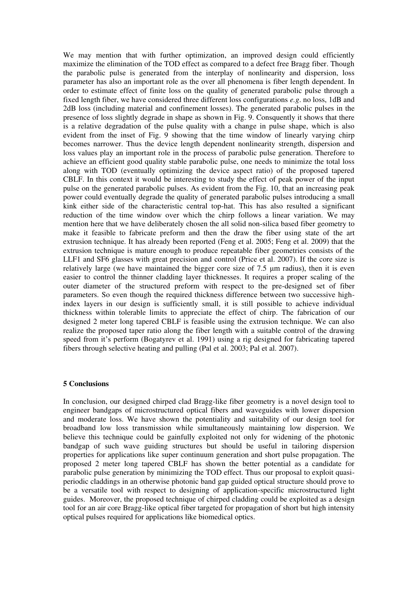We may mention that with further optimization, an improved design could efficiently maximize the elimination of the TOD effect as compared to a defect free Bragg fiber. Though the parabolic pulse is generated from the interplay of nonlinearity and dispersion, loss parameter has also an important role as the over all phenomena is fiber length dependent. In order to estimate effect of finite loss on the quality of generated parabolic pulse through a fixed length fiber, we have considered three different loss configurations *e.g*. no loss, 1dB and 2dB loss (including material and confinement losses). The generated parabolic pulses in the presence of loss slightly degrade in shape as shown in Fig. 9. Consquently it shows that there is a relative degradation of the pulse quality with a change in pulse shape, which is also evident from the inset of Fig. 9 showing that the time window of linearly varying chirp becomes narrower. Thus the device length dependent nonlinearity strength, dispersion and loss values play an important role in the process of parabolic pulse generation. Therefore to achieve an efficient good quality stable parabolic pulse, one needs to minimize the total loss along with TOD (eventually optimizing the device aspect ratio) of the proposed tapered CBLF. In this context it would be interesting to study the effect of peak power of the input pulse on the generated parabolic pulses. As evident from the Fig. 10, that an increasing peak power could eventually degrade the quality of generated parabolic pulses introducing a small kink either side of the characteristic central top-hat. This has also resulted a significant reduction of the time window over which the chirp follows a linear variation. We may mention here that we have deliberately chosen the all solid non-silica based fiber geometry to make it feasible to fabricate preform and then the draw the fiber using state of the art extrusion technique. It has already been reported (Feng et al. 2005; Feng et al. 2009) that the extrusion technique is mature enough to produce repeatable fiber geometries consists of the LLF1 and SF6 glasses with great precision and control (Price et al. 2007). If the core size is relatively large (we have maintained the bigger core size of 7.5 μm radius), then it is even easier to control the thinner cladding layer thicknesses. It requires a proper scaling of the outer diameter of the structured preform with respect to the pre-designed set of fiber parameters. So even though the required thickness difference between two successive highindex layers in our design is sufficiently small, it is still possible to achieve individual thickness within tolerable limits to appreciate the effect of chirp. The fabrication of our designed 2 meter long tapered CBLF is feasible using the extrusion technique. We can also realize the proposed taper ratio along the fiber length with a suitable control of the drawing speed from it's perform (Bogatyrev et al. 1991) using a rig designed for fabricating tapered fibers through selective heating and pulling (Pal et al. 2003; Pal et al. 2007).

#### **5 Conclusions**

In conclusion, our designed chirped clad Bragg-like fiber geometry is a novel design tool to engineer bandgaps of microstructured optical fibers and waveguides with lower dispersion and moderate loss. We have shown the potentiality and suitability of our design tool for broadband low loss transmission while simultaneously maintaining low dispersion. We believe this technique could be gainfully exploited not only for widening of the photonic bandgap of such wave guiding structures but should be useful in tailoring dispersion properties for applications like super continuum generation and short pulse propagation. The proposed 2 meter long tapered CBLF has shown the better potential as a candidate for parabolic pulse generation by minimizing the TOD effect. Thus our proposal to exploit quasiperiodic claddings in an otherwise photonic band gap guided optical structure should prove to be a versatile tool with respect to designing of application-specific microstructured light guides. Moreover, the proposed technique of chirped cladding could be exploited as a design tool for an air core Bragg-like optical fiber targeted for propagation of short but high intensity optical pulses required for applications like biomedical optics.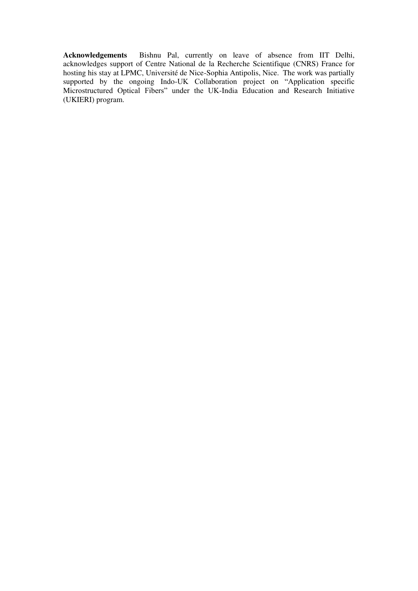**Acknowledgements** Bishnu Pal, currently on leave of absence from IIT Delhi, acknowledges support of Centre National de la Recherche Scientifique (CNRS) France for hosting his stay at LPMC, Université de Nice-Sophia Antipolis, Nice. The work was partially supported by the ongoing Indo-UK Collaboration project on "Application specific Microstructured Optical Fibers" under the UK-India Education and Research Initiative (UKIERI) program.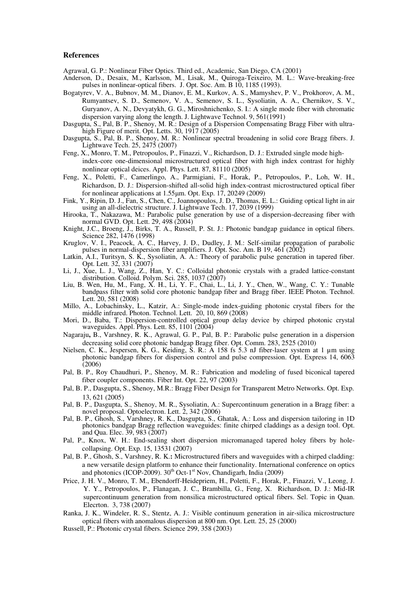#### **References**

Agrawal, G. P.: Nonlinear Fiber Optics. Third ed., Academic, San Diego, CA (2001)

- Anderson, D., Desaix, M., Karlsson, M., Lisak, M., Quiroga-Teixeiro, M. L.: Wave-breaking-free pulses in nonlinear-optical fibers. J. Opt. Soc. Am. B 10, 1185 (1993).
- Bogatyrev, V. A., Bubnov, M. M., Dianov, E. M., Kurkov, A. S., Mamyshev, P. V., Prokhorov, A. M., Rumyantsev, S. D., Semenov, V. A., Semenov, S. L., Sysoliatin, A. A., Chernikov, S. V., Guryanov, A. N., Devyatykh, G. G., Miroshnichenko, S. I.: A single mode fiber with chromatic dispersion varying along the length. J. Lightwave Technol. 9, 561(1991)
- Dasgupta, S., Pal, B. P., Shenoy, M. R.: Design of a Dispersion Compensating Bragg Fiber with ultrahigh Figure of merit. Opt. Letts. 30, 1917 (2005)
- Dasgupta, S., Pal, B. P., Shenoy, M. R.: Nonlinear spectral broadening in solid core Bragg fibers. J. Lightwave Tech. 25, 2475 (2007)
- Feng, X., Monro, T. M., Petropoulos, P., Finazzi, V., Richardson, D. J.: Extruded single mode highindex-core one-dimensional microstructured optical fiber with high index contrast for highly nonlinear optical deices. Appl. Phys. Lett. 87, 81110 (2005)
- Feng, X., Poletti, F., Camerlingo, A., Parmigiani, F., Horak, P., Petropoulos, P., Loh, W. H., Richardson, D. J.: Dispersion-shifted all-solid high index-contrast microstructured optical fiber for nonlinear applications at 1.55μm. Opt. Exp. 17, 20249 (2009)
- Fink, Y., Ripin, D. J., Fan, S., Chen, C., Joannopoulos, J. D., Thomas, E. L.: Guiding optical light in air using an all-dielectric structure. J. Lightwave Tech. 17, 2039 (1999)
- Hirooka, T., Nakazawa, M.: Parabolic pulse generation by use of a dispersion-decreasing fiber with normal GVD. Opt. Lett. 29, 498 (2004)
- Knight, J.C., Broeng, J., Birks, T. A., Russell, P. St. J.: Photonic bandgap guidance in optical fibers. Science 282, 1476 (1998)
- Kruglov, V. I., Peacock, A. C., Harvey, J. D., Dudley, J. M.: Self-similar propagation of parabolic pulses in normal-dispersion fiber amplifiers. J. Opt. Soc. Am. B 19, 461 (2002)
- Latkin, A.I., Turitsyn, S. K., Sysoliatin, A. A.: Theory of parabolic pulse generation in tapered fiber. Opt. Lett. 32, 331 (2007)
- Li, J., Xue, L. J., Wang, Z., Han, Y. C.: Colloidal photonic crystals with a graded lattice-constant distribution. Colloid. Polym. Sci. 285, 1037 (2007)
- Liu, B. Wen, Hu, M., Fang, X. H., Li, Y. F., Chai, L., Li, J. Y., Chen, W., Wang, C. Y.: Tunable bandpass filter with solid core photonic bandgap fiber and Bragg fiber. IEEE Photon. Technol. Lett. 20, 581 (2008)
- Millo, A., Lobachinsky, L., Katzir, A.: Single-mode index-guiding photonic crystal fibers for the middle infrared. Photon. Technol. Lett. 20, 10, 869 (2008)
- Mori, D., Baba, T.: Dispersion-controlled optical group delay device by chirped photonic crystal waveguides. Appl. Phys. Lett. 85, 1101 (2004)
- Nagaraju**,** B., Varshney, R. K., Agrawal, G. P., Pal, B. P.: Parabolic pulse generation in a dispersion decreasing solid core photonic bandgap Bragg fiber. Opt. Comm. 283, 2525 (2010)
- Nielsen, C. K., Jespersen, K. G., Keiding, S. R.: A 158 fs 5.3 nJ fiber-laser system at 1 µm using photonic bandgap fibers for dispersion control and pulse compression. Opt. Express 14, 6063  $(2006)$
- Pal, B. P., Roy Chaudhuri, P., Shenoy, M. R.: Fabrication and modeling of fused biconical tapered fiber coupler components. Fiber Int. Opt. 22, 97 (2003)
- Pal, B. P., Dasgupta, S., Shenoy, M.R.: Bragg Fiber Design for Transparent Metro Networks. Opt. Exp. 13, 621 (2005)
- Pal, B. P., Dasgupta, S., Shenoy, M. R., Sysoliatin, A.: Supercontinuum generation in a Bragg fiber: a novel proposal. Optoelectron. Lett. 2, 342 (2006)
- Pal, B. P., Ghosh, S., Varshney, R. K., Dasgupta, S., Ghatak, A.: Loss and dispersion tailoring in 1D photonics bandgap Bragg reflection waveguides: finite chirped claddings as a design tool. Opt. and Qua. Elec. 39, 983 (2007)
- Pal, P., Knox, W. H.: End-sealing short dispersion micromanaged tapered holey fibers by holecollapsing. Opt. Exp. 15, 13531 (2007)
- Pal, B. P., Ghosh, S., Varshney, R. K.**:** Microstructured fibers and waveguides with a chirped cladding: a new versatile design platform to enhance their functionality. International conference on optics and photonics (ICOP-2009).  $30<sup>th</sup>$  Oct-1<sup>st</sup> Nov, Chandigarh, India (2009)
- Price, J. H. V., Monro, T. M., Ebendorff-Heidepriem, H., Poletti, F., Horak, P., Finazzi, V., Leong, J. Y. Y., Petropoulos, P., Flanagan, J. C., Brambilla, G., Feng, X. Richardson, D. J.: Mid-IR supercontinuum generation from nonsilica microstructured optical fibers. Sel. Topic in Quan. Elecrton. 3, 738 (2007)
- Ranka, J. K., Windeler, R. S., Stentz, A. J.: Visible continuum generation in air-silica microstructure optical fibers with anomalous dispersion at 800 nm. Opt. Lett. 25, 25 (2000)
- Russell, P.: Photonic crystal fibers. Science 299, 358 (2003)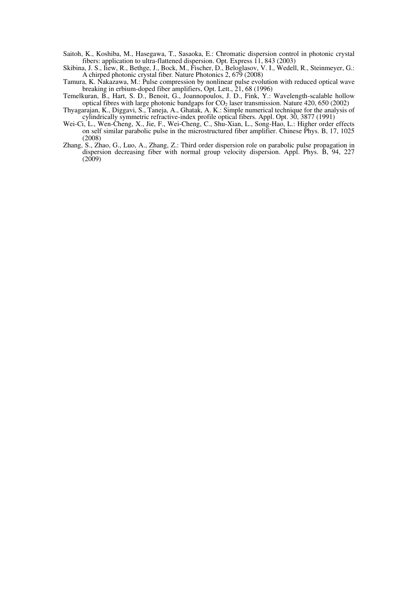Saitoh, K., Koshiba, M., Hasegawa, T., Sasaoka, E.: Chromatic dispersion control in photonic crystal fibers: application to ultra-flattened dispersion. Opt. Express 11, 843 (2003)

Skibina, J. S., Iiew, R., Bethge, J., Bock, M., Fischer, D., Beloglasov, V. I., Wedell, R., Steinmeyer, G.: A chirped photonic crystal fiber. Nature Photonics 2, 679 (2008)

- Tamura, K. Nakazawa, M.: Pulse compression by nonlinear pulse evolution with reduced optical wave breaking in erbium-doped fiber amplifiers, Opt. Lett., 21, 68 (1996)
- Temelkuran, B., Hart, S. D., Benoit, G., Joannopoulos, J. D., Fink, Y.: Wavelength-scalable hollow optical fibres with large photonic bandgaps for  $CO<sub>2</sub>$  laser transmission. Nature 420, 650 (2002)
- Thyagarajan, K., Diggavi, S., Taneja, A., Ghatak, A. K.: Simple numerical technique for the analysis of cylindrically symmetric refractive-index profile optical fibers. Appl. Opt. 30, 3877 (1991)
- Wei-Ci, L., Wen-Cheng, X., Jie, F., Wei-Cheng, C., Shu-Xian, L., Song-Hao, L.: Higher order effects on self similar parabolic pulse in the microstructured fiber amplifier. Chinese Phys. B, 17, 1025 (2008)
- Zhang, S., Zhao, G., Luo, A., Zhang, Z.: Third order dispersion role on parabolic pulse propagation in dispersion decreasing fiber with normal group velocity dispersion. Appl. Phys. B, 94, 227  $(2009)$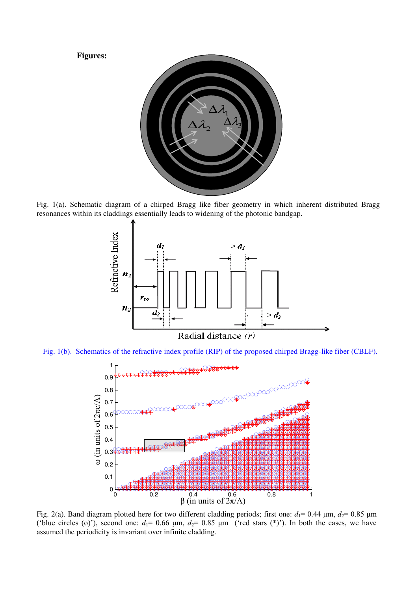

**Figures:** 

Fig. 1(a). Schematic diagram of a chirped Bragg like fiber geometry in which inherent distributed Bragg resonances within its claddings essentially leads to widening of the photonic bandgap.



Fig. 1(b).Schematics of the refractive index profile (RIP) of the proposed chirped Bragg-like fiber (CBLF).



Fig. 2(a). Band diagram plotted here for two different cladding periods; first one:  $d_1$ = 0.44  $\mu$ m,  $d_2$ = 0.85  $\mu$ m ('blue circles (o)'), second one:  $d_1 = 0.66$  μm,  $d_2 = 0.85$  μm ('red stars (\*)'). In both the cases, we have assumed the periodicity is invariant over infinite cladding.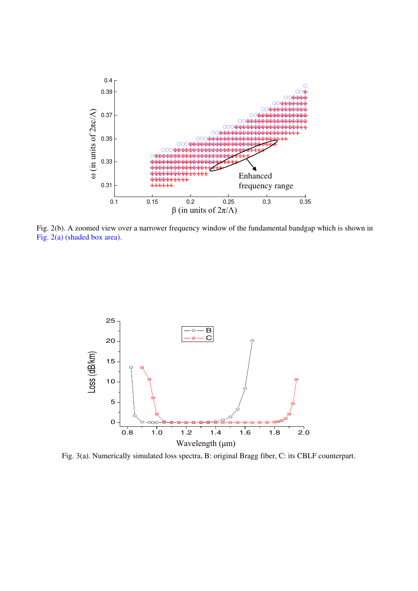

Fig. 2(b). A zoomed view over a narrower frequency window of the fundamental bandgap which is shown in Fig. 2(a) (shaded box area).



Fig. 3(a). Numerically simulated loss spectra, B: original Bragg fiber, C: its CBLF counterpart.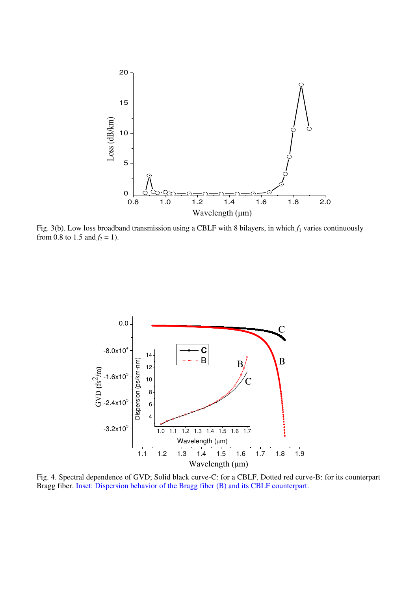

Fig. 3(b). Low loss broadband transmission using a CBLF with 8 bilayers, in which  $f_1$  varies continuously from 0.8 to 1.5 and  $f_2 = 1$ ).



Fig. 4. Spectral dependence of GVD; Solid black curve-C: for a CBLF, Dotted red curve-B: for its counterpart Bragg fiber. Inset: Dispersion behavior of the Bragg fiber (B) and its CBLF counterpart.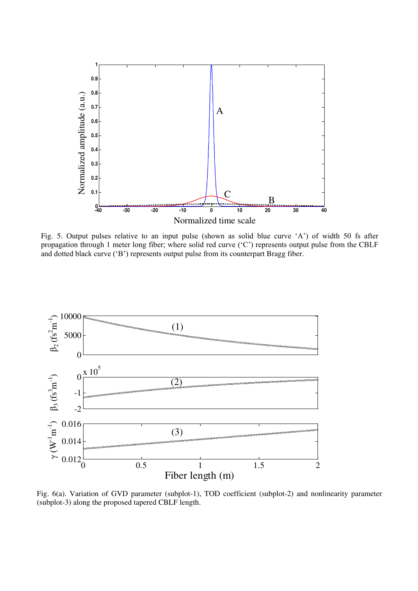

Fig. 5. Output pulses relative to an input pulse (shown as solid blue curve "A") of width 50 fs after propagation through 1 meter long fiber; where solid red curve ("C") represents output pulse from the CBLF and dotted black curve ("B") represents output pulse from its counterpart Bragg fiber.



Fig. 6(a). Variation of GVD parameter (subplot-1), TOD coefficient (subplot-2) and nonlinearity parameter (subplot-3) along the proposed tapered CBLF length.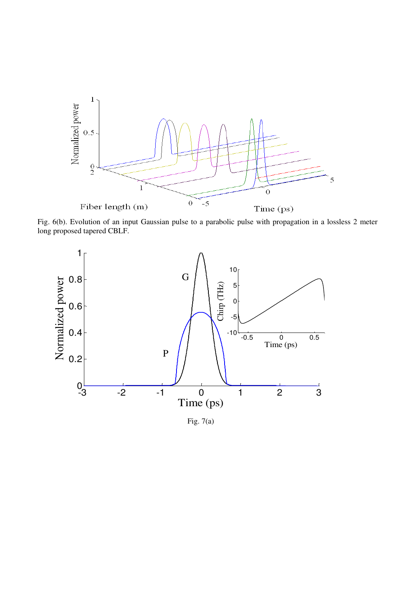

Fig. 6(b). Evolution of an input Gaussian pulse to a parabolic pulse with propagation in a lossless 2 meter long proposed tapered CBLF.

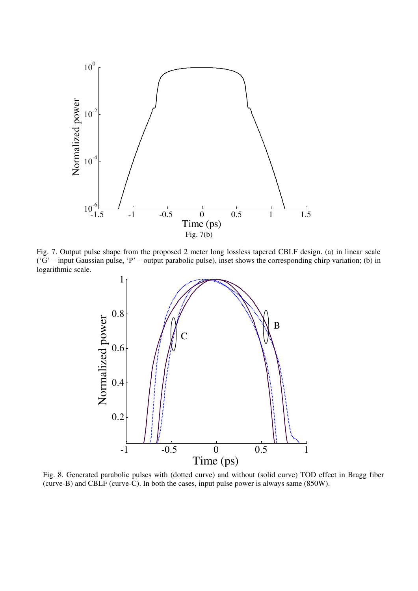

Fig. 7. Output pulse shape from the proposed 2 meter long lossless tapered CBLF design. (a) in linear scale ("G" – input Gaussian pulse, "P" – output parabolic pulse), inset shows the corresponding chirp variation; (b) in logarithmic scale.



Fig. 8. Generated parabolic pulses with (dotted curve) and without (solid curve) TOD effect in Bragg fiber (curve-B) and CBLF (curve-C). In both the cases, input pulse power is always same (850W).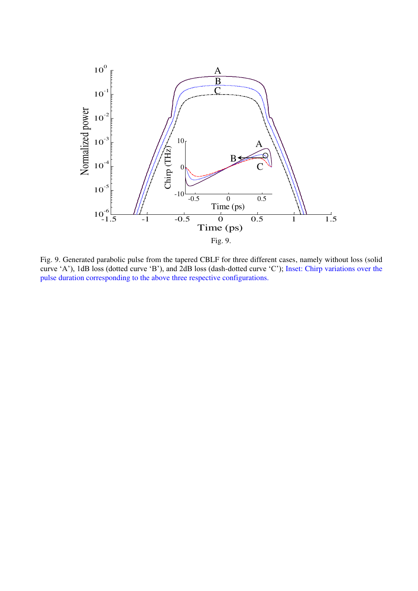

Fig. 9. Generated parabolic pulse from the tapered CBLF for three different cases, namely without loss (solid curve "A"), 1dB loss (dotted curve "B"), and 2dB loss (dash-dotted curve "C"); Inset: Chirp variations over the pulse duration corresponding to the above three respective configurations.